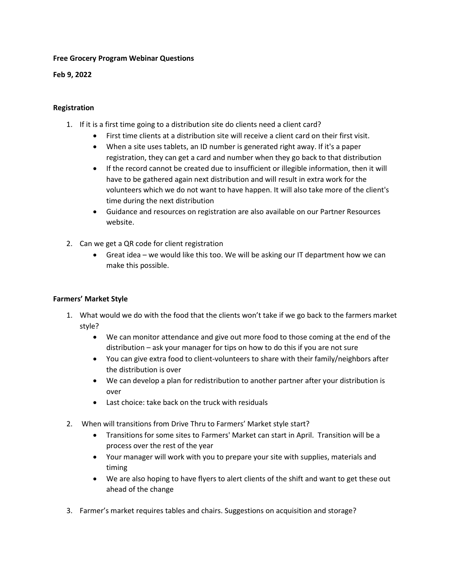## **Free Grocery Program Webinar Questions**

**Feb 9, 2022**

## **Registration**

- 1. If it is a first time going to a distribution site do clients need a client card?
	- First time clients at a distribution site will receive a client card on their first visit.
	- When a site uses tablets, an ID number is generated right away. If it's a paper registration, they can get a card and number when they go back to that distribution
	- If the record cannot be created due to insufficient or illegible information, then it will have to be gathered again next distribution and will result in extra work for the volunteers which we do not want to have happen. It will also take more of the client's time during the next distribution
	- Guidance and resources on registration are also available on our Partner Resources website.
- 2. Can we get a QR code for client registration
	- Great idea we would like this too. We will be asking our IT department how we can make this possible.

## **Farmers' Market Style**

- 1. What would we do with the food that the clients won't take if we go back to the farmers market style?
	- We can monitor attendance and give out more food to those coming at the end of the distribution – ask your manager for tips on how to do this if you are not sure
	- You can give extra food to client-volunteers to share with their family/neighbors after the distribution is over
	- We can develop a plan for redistribution to another partner after your distribution is over
	- Last choice: take back on the truck with residuals
- 2. When will transitions from Drive Thru to Farmers' Market style start?
	- Transitions for some sites to Farmers' Market can start in April. Transition will be a process over the rest of the year
	- Your manager will work with you to prepare your site with supplies, materials and timing
	- We are also hoping to have flyers to alert clients of the shift and want to get these out ahead of the change
- 3. Farmer's market requires tables and chairs. Suggestions on acquisition and storage?